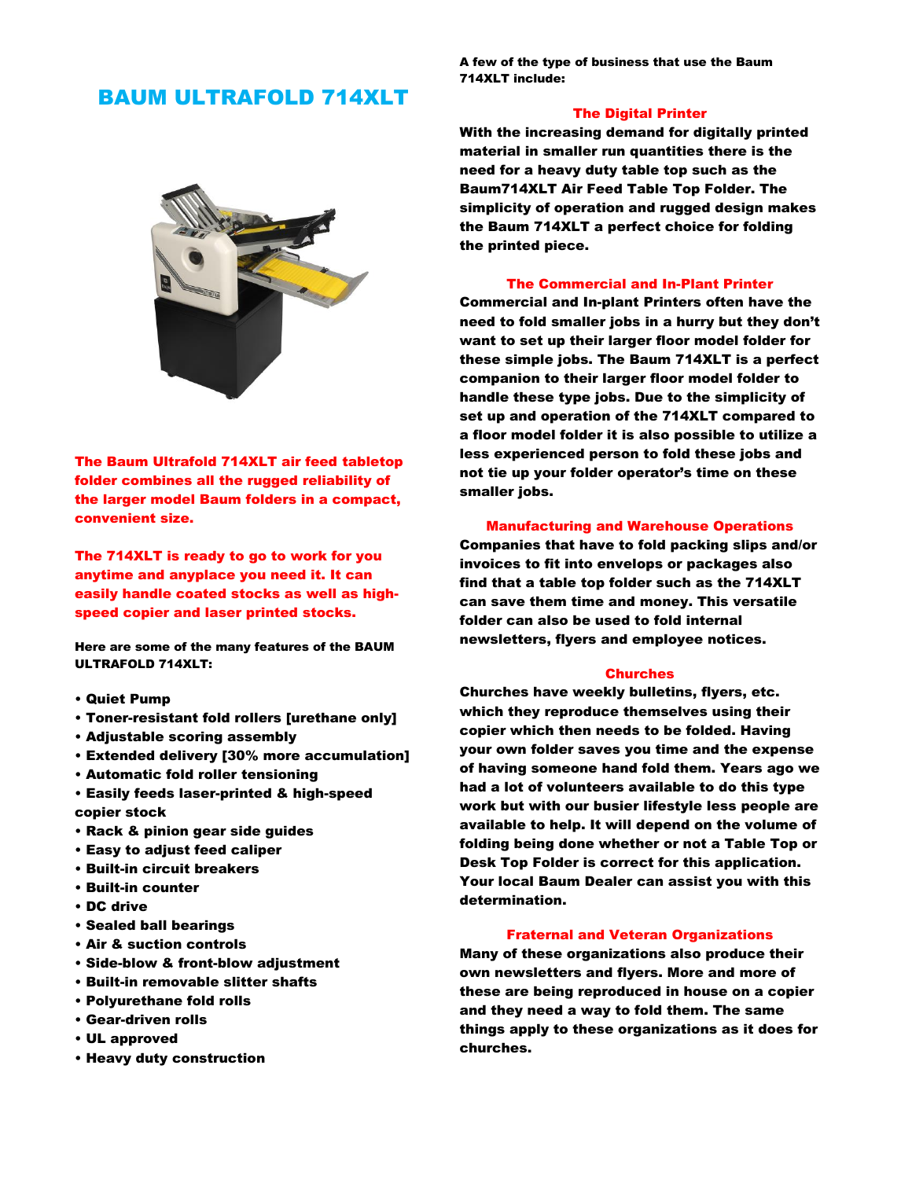# BAUM ULTRAFOLD 714XLT



The Baum Ultrafold 714XLT air feed tabletop folder combines all the rugged reliability of the larger model Baum folders in a compact, convenient size.

The 714XLT is ready to go to work for you anytime and anyplace you need it. It can easily handle coated stocks as well as highspeed copier and laser printed stocks.

Here are some of the many features of the BAUM ULTRAFOLD 714XLT:

- Quiet Pump
- Toner-resistant fold rollers [urethane only]
- Adjustable scoring assembly
- Extended delivery [30% more accumulation]
- Automatic fold roller tensioning
- Easily feeds laser-printed & high-speed copier stock
- Rack & pinion gear side guides
- Easy to adjust feed caliper
- Built-in circuit breakers
- Built-in counter
- DC drive
- Sealed ball bearings
- Air & suction controls
- Side-blow & front-blow adjustment
- Built-in removable slitter shafts
- Polyurethane fold rolls
- Gear-driven rolls
- UL approved
- Heavy duty construction

A few of the type of business that use the Baum 714XLT include:

# The Digital Printer

With the increasing demand for digitally printed material in smaller run quantities there is the need for a heavy duty table top such as the Baum714XLT Air Feed Table Top Folder. The simplicity of operation and rugged design makes the Baum 714XLT a perfect choice for folding the printed piece.

#### The Commercial and In-Plant Printer

Commercial and In-plant Printers often have the need to fold smaller jobs in a hurry but they don't want to set up their larger floor model folder for these simple jobs. The Baum 714XLT is a perfect companion to their larger floor model folder to handle these type jobs. Due to the simplicity of set up and operation of the 714XLT compared to a floor model folder it is also possible to utilize a less experienced person to fold these jobs and not tie up your folder operator's time on these smaller jobs.

#### Manufacturing and Warehouse Operations

Companies that have to fold packing slips and/or invoices to fit into envelops or packages also find that a table top folder such as the 714XLT can save them time and money. This versatile folder can also be used to fold internal newsletters, flyers and employee notices.

#### **Churches**

Churches have weekly bulletins, flyers, etc. which they reproduce themselves using their copier which then needs to be folded. Having your own folder saves you time and the expense of having someone hand fold them. Years ago we had a lot of volunteers available to do this type work but with our busier lifestyle less people are available to help. It will depend on the volume of folding being done whether or not a Table Top or Desk Top Folder is correct for this application. Your local Baum Dealer can assist you with this determination.

### Fraternal and Veteran Organizations

Many of these organizations also produce their own newsletters and flyers. More and more of these are being reproduced in house on a copier and they need a way to fold them. The same things apply to these organizations as it does for churches.